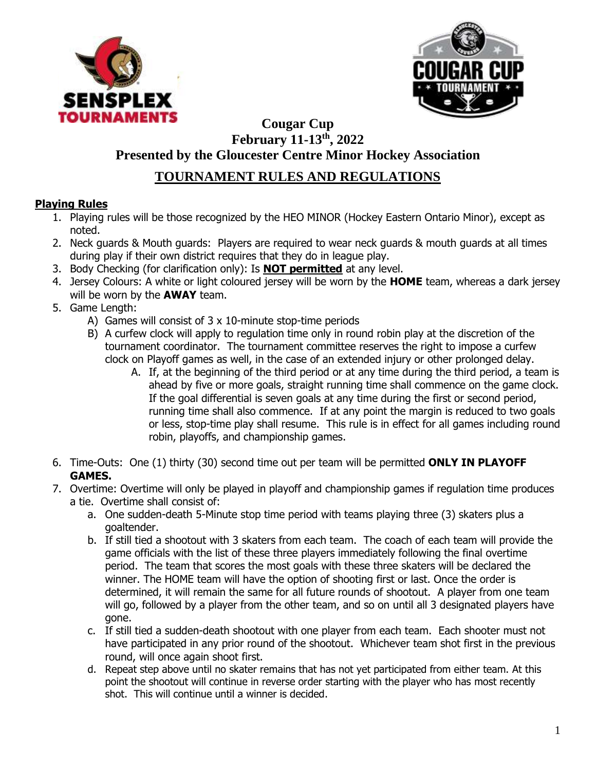



## **Cougar Cup February 11-13th, 2022 Presented by the Gloucester Centre Minor Hockey Association**

# **TOURNAMENT RULES AND REGULATIONS**

## **Playing Rules**

- 1. Playing rules will be those recognized by the HEO MINOR (Hockey Eastern Ontario Minor), except as noted.
- 2. Neck guards & Mouth guards: Players are required to wear neck guards & mouth guards at all times during play if their own district requires that they do in league play.
- 3. Body Checking (for clarification only): Is **NOT permitted** at any level.
- 4. Jersey Colours: A white or light coloured jersey will be worn by the **HOME** team, whereas a dark jersey will be worn by the **AWAY** team.
- 5. Game Length:
	- A) Games will consist of 3 x 10-minute stop-time periods
	- B) A curfew clock will apply to regulation time only in round robin play at the discretion of the tournament coordinator. The tournament committee reserves the right to impose a curfew clock on Playoff games as well, in the case of an extended injury or other prolonged delay.
		- A. If, at the beginning of the third period or at any time during the third period, a team is ahead by five or more goals, straight running time shall commence on the game clock. If the goal differential is seven goals at any time during the first or second period, running time shall also commence. If at any point the margin is reduced to two goals or less, stop-time play shall resume. This rule is in effect for all games including round robin, playoffs, and championship games.
- 6. Time-Outs: One (1) thirty (30) second time out per team will be permitted **ONLY IN PLAYOFF GAMES.**
- 7. Overtime: Overtime will only be played in playoff and championship games if regulation time produces a tie. Overtime shall consist of:
	- a. One sudden-death 5-Minute stop time period with teams playing three (3) skaters plus a goaltender.
	- b. If still tied a shootout with 3 skaters from each team. The coach of each team will provide the game officials with the list of these three players immediately following the final overtime period. The team that scores the most goals with these three skaters will be declared the winner. The HOME team will have the option of shooting first or last. Once the order is determined, it will remain the same for all future rounds of shootout. A player from one team will go, followed by a player from the other team, and so on until all 3 designated players have gone.
	- c. If still tied a sudden-death shootout with one player from each team. Each shooter must not have participated in any prior round of the shootout. Whichever team shot first in the previous round, will once again shoot first.
	- d. Repeat step above until no skater remains that has not yet participated from either team. At this point the shootout will continue in reverse order starting with the player who has most recently shot. This will continue until a winner is decided.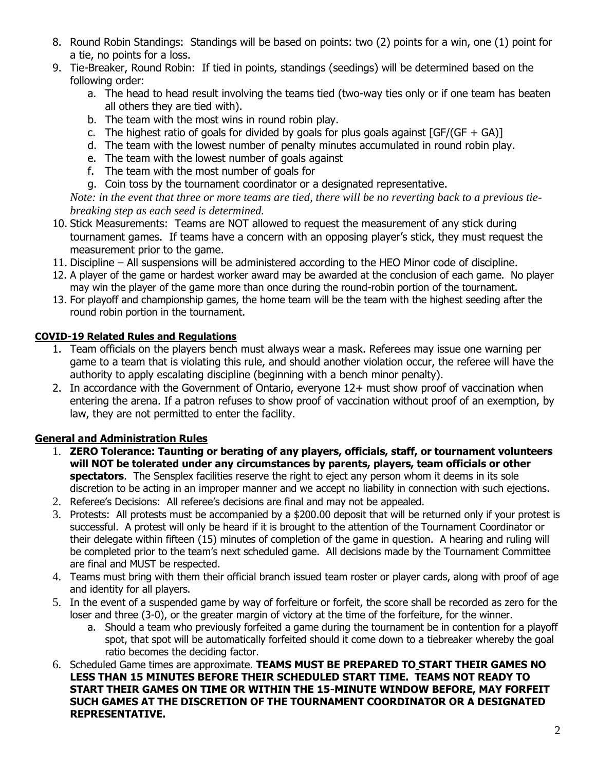- 8. Round Robin Standings: Standings will be based on points: two (2) points for a win, one (1) point for a tie, no points for a loss.
- 9. Tie-Breaker, Round Robin: If tied in points, standings (seedings) will be determined based on the following order:
	- a. The head to head result involving the teams tied (two-way ties only or if one team has beaten all others they are tied with).
	- b. The team with the most wins in round robin play.
	- c. The highest ratio of goals for divided by goals for plus goals against  $[GF/(GF + GA)]$
	- d. The team with the lowest number of penalty minutes accumulated in round robin play.
	- e. The team with the lowest number of goals against
	- f. The team with the most number of goals for
	- g. Coin toss by the tournament coordinator or a designated representative.

*Note: in the event that three or more teams are tied, there will be no reverting back to a previous tiebreaking step as each seed is determined.*

- 10. Stick Measurements: Teams are NOT allowed to request the measurement of any stick during tournament games. If teams have a concern with an opposing player's stick, they must request the measurement prior to the game.
- 11. Discipline All suspensions will be administered according to the HEO Minor code of discipline.
- 12. A player of the game or hardest worker award may be awarded at the conclusion of each game. No player may win the player of the game more than once during the round-robin portion of the tournament.
- 13. For playoff and championship games, the home team will be the team with the highest seeding after the round robin portion in the tournament.

#### **COVID-19 Related Rules and Regulations**

- 1. Team officials on the players bench must always wear a mask. Referees may issue one warning per game to a team that is violating this rule, and should another violation occur, the referee will have the authority to apply escalating discipline (beginning with a bench minor penalty).
- 2. In accordance with the Government of Ontario, everyone 12+ must show proof of vaccination when entering the arena. If a patron refuses to show proof of vaccination without proof of an exemption, by law, they are not permitted to enter the facility.

## **General and Administration Rules**

- 1. **ZERO Tolerance: Taunting or berating of any players, officials, staff, or tournament volunteers will NOT be tolerated under any circumstances by parents, players, team officials or other spectators**. The Sensplex facilities reserve the right to eject any person whom it deems in its sole discretion to be acting in an improper manner and we accept no liability in connection with such ejections.
- 2. Referee's Decisions: All referee's decisions are final and may not be appealed.
- 3. Protests: All protests must be accompanied by a \$200.00 deposit that will be returned only if your protest is successful. A protest will only be heard if it is brought to the attention of the Tournament Coordinator or their delegate within fifteen (15) minutes of completion of the game in question. A hearing and ruling will be completed prior to the team's next scheduled game. All decisions made by the Tournament Committee are final and MUST be respected.
- 4. Teams must bring with them their official branch issued team roster or player cards, along with proof of age and identity for all players.
- 5. In the event of a suspended game by way of forfeiture or forfeit, the score shall be recorded as zero for the loser and three (3-0), or the greater margin of victory at the time of the forfeiture, for the winner.
	- a. Should a team who previously forfeited a game during the tournament be in contention for a playoff spot, that spot will be automatically forfeited should it come down to a tiebreaker whereby the goal ratio becomes the deciding factor.
- 6. Scheduled Game times are approximate. **TEAMS MUST BE PREPARED TO START THEIR GAMES NO LESS THAN 15 MINUTES BEFORE THEIR SCHEDULED START TIME. TEAMS NOT READY TO START THEIR GAMES ON TIME OR WITHIN THE 15-MINUTE WINDOW BEFORE, MAY FORFEIT SUCH GAMES AT THE DISCRETION OF THE TOURNAMENT COORDINATOR OR A DESIGNATED REPRESENTATIVE.**